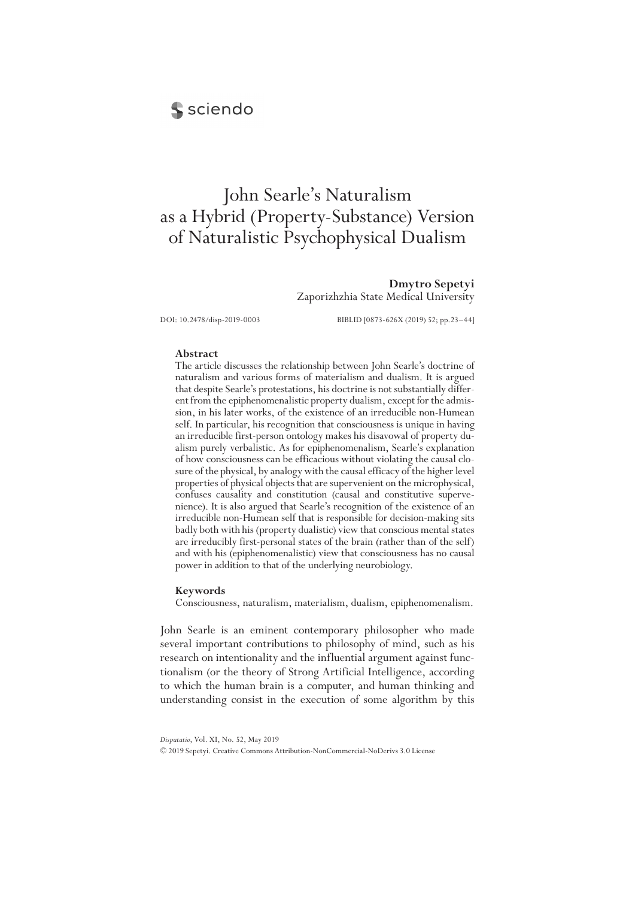# sciendo

# John Searle's Naturalism as a Hybrid (Property-Substance) Version of Naturalistic Psychophysical Dualism

**Dmytro Sepetyi** Zaporizhzhia State Medical University

DOI: 10.2478/disp-2019-0003 BIBLID [0873-626X (2019) 52; pp.23–44]

# **Abstract**

The article discusses the relationship between John Searle's doctrine of naturalism and various forms of materialism and dualism. It is argued that despite Searle's protestations, his doctrine is not substantially different from the epiphenomenalistic property dualism, except for the admission, in his later works, of the existence of an irreducible non-Humean self. In particular, his recognition that consciousness is unique in having an irreducible first-person ontology makes his disavowal of property dualism purely verbalistic. As for epiphenomenalism, Searle's explanation of how consciousness can be efficacious without violating the causal closure of the physical, by analogy with the causal efficacy of the higher level properties of physical objects that are supervenient on the microphysical, confuses causality and constitution (causal and constitutive supervenience). It is also argued that Searle's recognition of the existence of an irreducible non-Humean self that is responsible for decision-making sits badly both with his (property dualistic) view that conscious mental states are irreducibly first-personal states of the brain (rather than of the self) and with his (epiphenomenalistic) view that consciousness has no causal power in addition to that of the underlying neurobiology.

## **Keywords**

Consciousness, naturalism, materialism, dualism, epiphenomenalism.

John Searle is an eminent contemporary philosopher who made several important contributions to philosophy of mind, such as his research on intentionality and the influential argument against functionalism (or the theory of Strong Artificial Intelligence, according to which the human brain is a computer, and human thinking and understanding consist in the execution of some algorithm by this

*Disputatio*, Vol. XI, No. 52, May 2019

<sup>© 2019</sup> Sepetyi. Creative Commons Attribution-NonCommercial-NoDerivs 3.0 License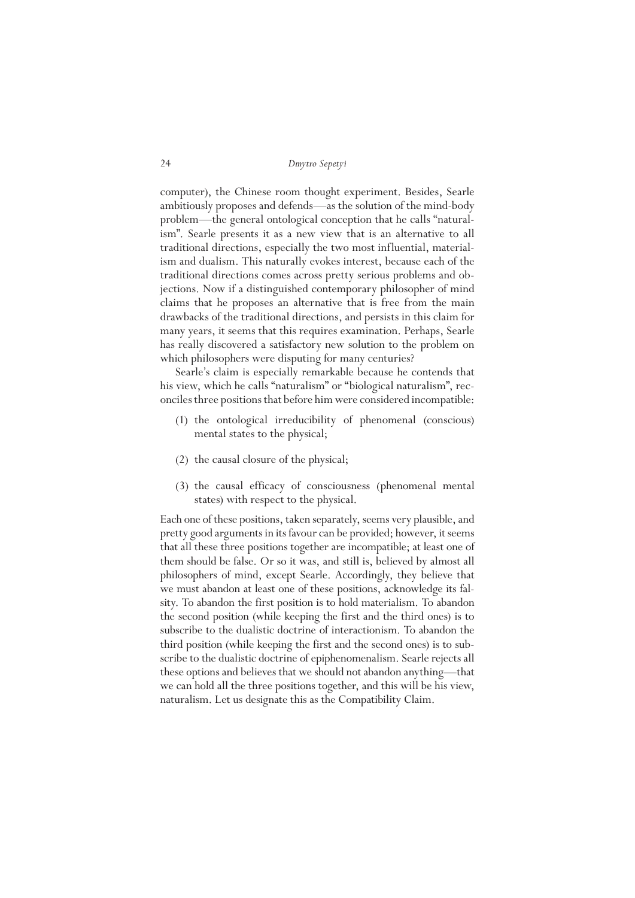computer), the Chinese room thought experiment. Besides, Searle ambitiously proposes and defends—as the solution of the mind-body problem—the general ontological conception that he calls "naturalism". Searle presents it as a new view that is an alternative to all traditional directions, especially the two most influential, materialism and dualism. This naturally evokes interest, because each of the traditional directions comes across pretty serious problems and objections. Now if a distinguished contemporary philosopher of mind claims that he proposes an alternative that is free from the main drawbacks of the traditional directions, and persists in this claim for many years, it seems that this requires examination. Perhaps, Searle has really discovered a satisfactory new solution to the problem on which philosophers were disputing for many centuries?

Searle's claim is especially remarkable because he contends that his view, which he calls "naturalism" or "biological naturalism", reconciles three positions that before him were considered incompatible:

- (1) the ontological irreducibility of phenomenal (conscious) mental states to the physical;
- (2) the causal closure of the physical;
- (3) the causal efficacy of consciousness (phenomenal mental states) with respect to the physical.

Each one of these positions, taken separately, seems very plausible, and pretty good arguments in its favour can be provided; however, it seems that all these three positions together are incompatible; at least one of them should be false. Or so it was, and still is, believed by almost all philosophers of mind, except Searle. Accordingly, they believe that we must abandon at least one of these positions, acknowledge its falsity. To abandon the first position is to hold materialism. To abandon the second position (while keeping the first and the third ones) is to subscribe to the dualistic doctrine of interactionism. To abandon the third position (while keeping the first and the second ones) is to subscribe to the dualistic doctrine of epiphenomenalism. Searle rejects all these options and believes that we should not abandon anything—that we can hold all the three positions together, and this will be his view, naturalism. Let us designate this as the Compatibility Claim.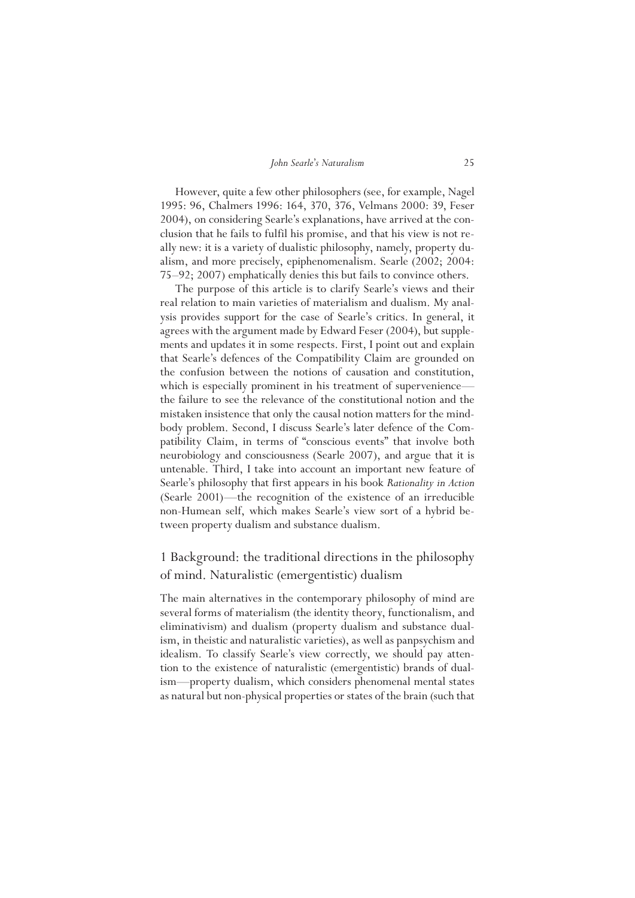However, quite a few other philosophers (see, for example, Nagel 1995: 96, Chalmers 1996: 164, 370, 376, Velmans 2000: 39, Feser 2004), on considering Searle's explanations, have arrived at the conclusion that he fails to fulfil his promise, and that his view is not really new: it is a variety of dualistic philosophy, namely, property dualism, and more precisely, epiphenomenalism. Searle (2002; 2004: 75–92; 2007) emphatically denies this but fails to convince others.

The purpose of this article is to clarify Searle's views and their real relation to main varieties of materialism and dualism. My analysis provides support for the case of Searle's critics. In general, it agrees with the argument made by Edward Feser (2004), but supplements and updates it in some respects. First, I point out and explain that Searle's defences of the Compatibility Claim are grounded on the confusion between the notions of causation and constitution, which is especially prominent in his treatment of supervenience the failure to see the relevance of the constitutional notion and the mistaken insistence that only the causal notion matters for the mindbody problem. Second, I discuss Searle's later defence of the Compatibility Claim, in terms of "conscious events" that involve both neurobiology and consciousness (Searle 2007), and argue that it is untenable. Third, I take into account an important new feature of Searle's philosophy that first appears in his book *Rationality in Action* (Searle 2001)—the recognition of the existence of an irreducible non-Humean self, which makes Searle's view sort of a hybrid between property dualism and substance dualism.

# 1 Background: the traditional directions in the philosophy of mind. Naturalistic (emergentistic) dualism

The main alternatives in the contemporary philosophy of mind are several forms of materialism (the identity theory, functionalism, and eliminativism) and dualism (property dualism and substance dualism, in theistic and naturalistic varieties), as well as panpsychism and idealism. To classify Searle's view correctly, we should pay attention to the existence of naturalistic (emergentistic) brands of dualism—property dualism, which considers phenomenal mental states as natural but non-physical properties or states of the brain (such that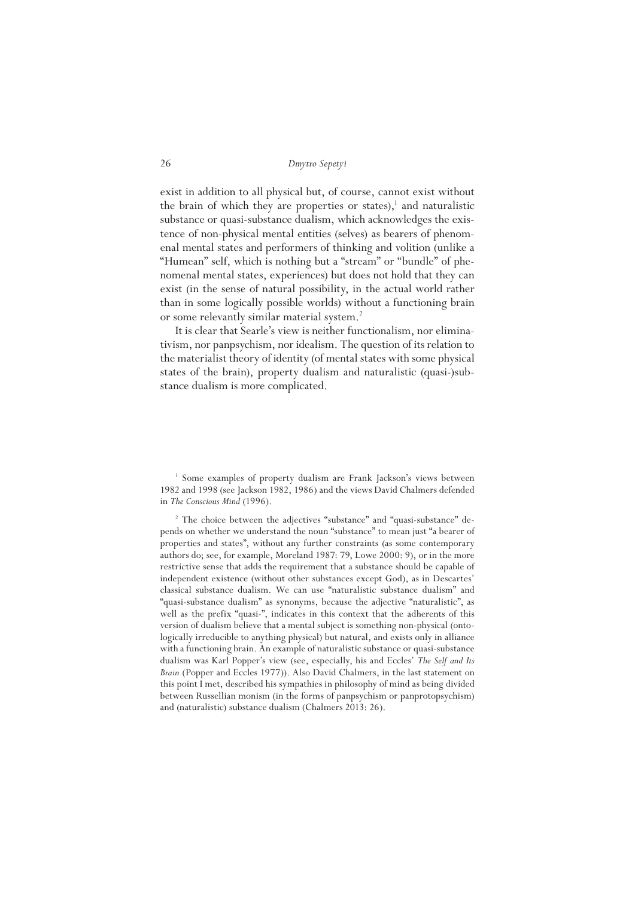exist in addition to all physical but, of course, cannot exist without the brain of which they are properties or states), $<sup>1</sup>$  and naturalistic</sup> substance or quasi-substance dualism, which acknowledges the existence of non-physical mental entities (selves) as bearers of phenomenal mental states and performers of thinking and volition (unlike a "Humean" self, which is nothing but a "stream" or "bundle" of phenomenal mental states, experiences) but does not hold that they can exist (in the sense of natural possibility, in the actual world rather than in some logically possible worlds) without a functioning brain or some relevantly similar material system.<sup>2</sup>

It is clear that Searle's view is neither functionalism, nor eliminativism, nor panpsychism, nor idealism. The question of its relation to the materialist theory of identity (of mental states with some physical states of the brain), property dualism and naturalistic (quasi-)substance dualism is more complicated.

<sup>&</sup>lt;sup>1</sup> Some examples of property dualism are Frank Jackson's views between 1982 and 1998 (see Jackson 1982, 1986) and the views David Chalmers defended in *The Conscious Mind* (1996).

<sup>&</sup>lt;sup>2</sup> The choice between the adjectives "substance" and "quasi-substance" depends on whether we understand the noun "substance" to mean just "a bearer of properties and states", without any further constraints (as some contemporary authors do; see, for example, Moreland 1987: 79, Lowe 2000: 9), or in the more restrictive sense that adds the requirement that a substance should be capable of independent existence (without other substances except God), as in Descartes' classical substance dualism. We can use "naturalistic substance dualism" and "quasi-substance dualism" as synonyms, because the adjective "naturalistic", as well as the prefix "quasi-", indicates in this context that the adherents of this version of dualism believe that a mental subject is something non-physical (ontologically irreducible to anything physical) but natural, and exists only in alliance with a functioning brain. An example of naturalistic substance or quasi-substance dualism was Karl Popper's view (see, especially, his and Eccles' *The Self and Its Brain* (Popper and Eccles 1977)). Also David Chalmers, in the last statement on this point I met, described his sympathies in philosophy of mind as being divided between Russellian monism (in the forms of panpsychism or panprotopsychism) and (naturalistic) substance dualism (Chalmers 2013: 26).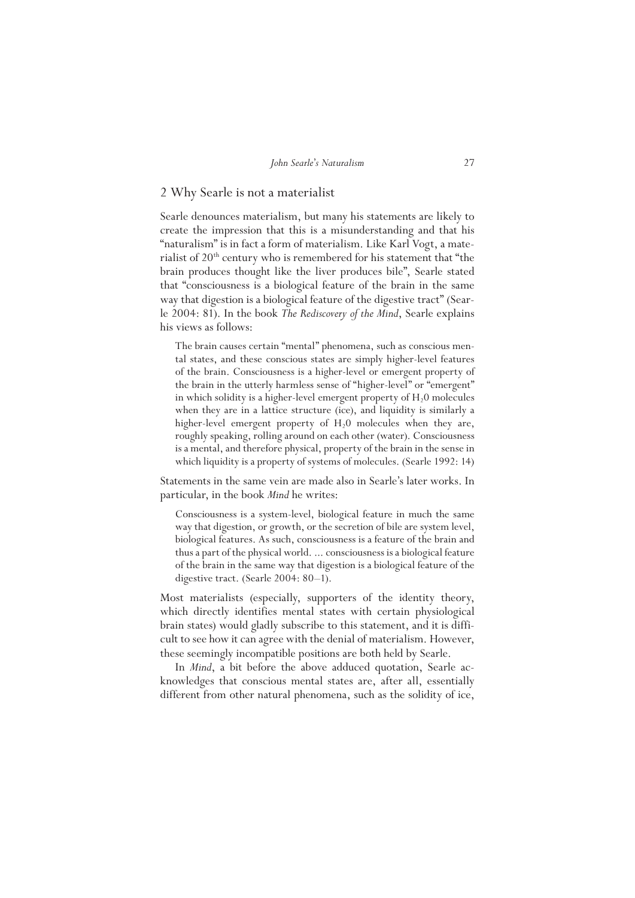# 2 Why Searle is not a materialist

Searle denounces materialism, but many his statements are likely to create the impression that this is a misunderstanding and that his "naturalism" is in fact a form of materialism. Like Karl Vogt, a materialist of  $20<sup>th</sup>$  century who is remembered for his statement that "the brain produces thought like the liver produces bile", Searle stated that "consciousness is a biological feature of the brain in the same way that digestion is a biological feature of the digestive tract" (Searle 2004: 81). In the book *The Rediscovery of the Mind*, Searle explains his views as follows:

The brain causes certain "mental" phenomena, such as conscious mental states, and these conscious states are simply higher-level features of the brain. Consciousness is a higher-level or emergent property of the brain in the utterly harmless sense of "higher-level" or "emergent" in which solidity is a higher-level emergent property of  $H<sub>2</sub>0$  molecules when they are in a lattice structure (ice), and liquidity is similarly a higher-level emergent property of  $H<sub>2</sub>0$  molecules when they are, roughly speaking, rolling around on each other (water). Consciousness is a mental, and therefore physical, property of the brain in the sense in which liquidity is a property of systems of molecules. (Searle 1992: 14)

Statements in the same vein are made also in Searle's later works. In particular, in the book *Mind* he writes:

Consciousness is a system-level, biological feature in much the same way that digestion, or growth, or the secretion of bile are system level, biological features. As such, consciousness is a feature of the brain and thus a part of the physical world. ... consciousness is a biological feature of the brain in the same way that digestion is a biological feature of the digestive tract. (Searle 2004: 80–1).

Most materialists (especially, supporters of the identity theory, which directly identifies mental states with certain physiological brain states) would gladly subscribe to this statement, and it is difficult to see how it can agree with the denial of materialism. However, these seemingly incompatible positions are both held by Searle.

In *Mind*, a bit before the above adduced quotation, Searle acknowledges that conscious mental states are, after all, essentially different from other natural phenomena, such as the solidity of ice,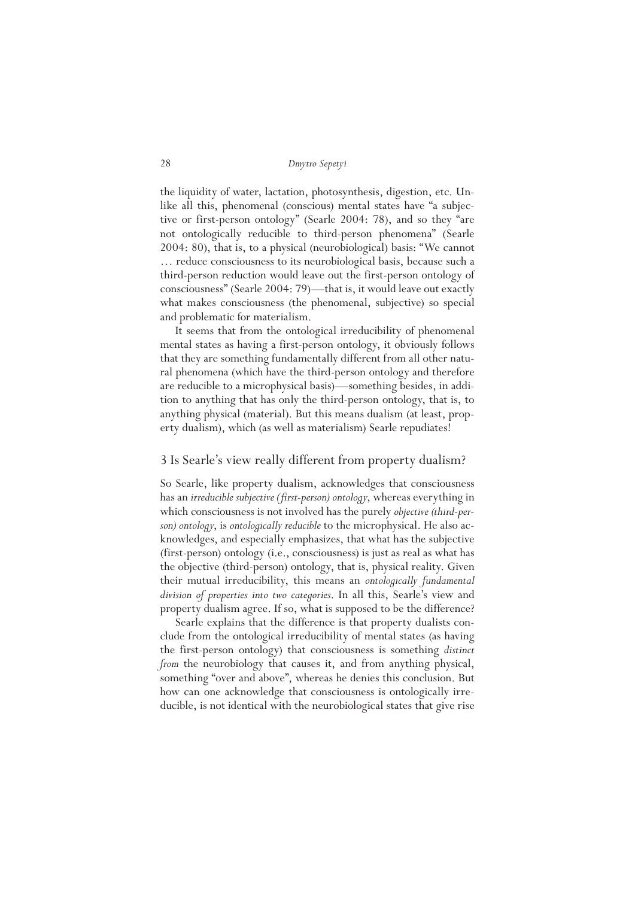the liquidity of water, lactation, photosynthesis, digestion, etc. Unlike all this, phenomenal (conscious) mental states have "a subjective or first-person ontology" (Searle 2004: 78), and so they "are not ontologically reducible to third-person phenomena" (Searle 2004: 80), that is, to a physical (neurobiological) basis: "We cannot … reduce consciousness to its neurobiological basis, because such a third-person reduction would leave out the first-person ontology of consciousness" (Searle 2004: 79)—that is, it would leave out exactly what makes consciousness (the phenomenal, subjective) so special and problematic for materialism.

It seems that from the ontological irreducibility of phenomenal mental states as having a first-person ontology, it obviously follows that they are something fundamentally different from all other natural phenomena (which have the third-person ontology and therefore are reducible to a microphysical basis)—something besides, in addition to anything that has only the third-person ontology, that is, to anything physical (material). But this means dualism (at least, property dualism), which (as well as materialism) Searle repudiates!

# 3 Is Searle's view really different from property dualism?

So Searle, like property dualism, acknowledges that consciousness has an *irreducible subjective (first-person) ontology*, whereas everything in which consciousness is not involved has the purely *objective (third-person) ontology*, is *ontologically reducible* to the microphysical. He also acknowledges, and especially emphasizes, that what has the subjective (first-person) ontology (i.e., consciousness) is just as real as what has the objective (third-person) ontology, that is, physical reality. Given their mutual irreducibility, this means an *ontologically fundamental division of properties into two categories*. In all this, Searle's view and property dualism agree. If so, what is supposed to be the difference?

Searle explains that the difference is that property dualists conclude from the ontological irreducibility of mental states (as having the first-person ontology) that consciousness is something *distinct from* the neurobiology that causes it, and from anything physical, something "over and above", whereas he denies this conclusion. But how can one acknowledge that consciousness is ontologically irreducible, is not identical with the neurobiological states that give rise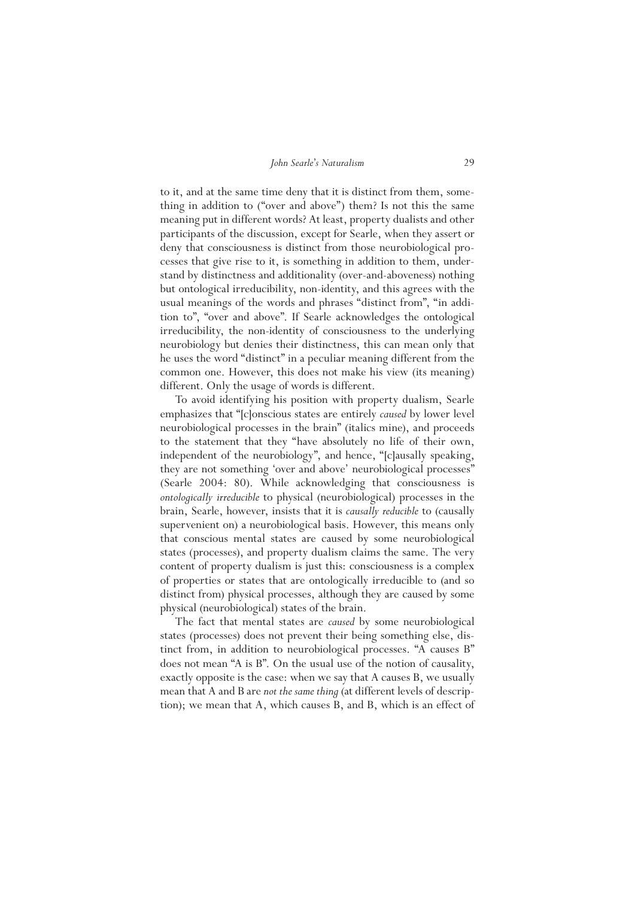to it, and at the same time deny that it is distinct from them, something in addition to ("over and above") them? Is not this the same meaning put in different words? At least, property dualists and other participants of the discussion, except for Searle, when they assert or deny that consciousness is distinct from those neurobiological processes that give rise to it, is something in addition to them, understand by distinctness and additionality (over-and-aboveness) nothing but ontological irreducibility, non-identity, and this agrees with the usual meanings of the words and phrases "distinct from", "in addition to", "over and above". If Searle acknowledges the ontological irreducibility, the non-identity of consciousness to the underlying neurobiology but denies their distinctness, this can mean only that he uses the word "distinct" in a peculiar meaning different from the common one. However, this does not make his view (its meaning) different. Only the usage of words is different.

To avoid identifying his position with property dualism, Searle emphasizes that "[c]onscious states are entirely *caused* by lower level neurobiological processes in the brain" (italics mine), and proceeds to the statement that they "have absolutely no life of their own, independent of the neurobiology", and hence, "[c]ausally speaking, they are not something 'over and above' neurobiological processes" (Searle 2004: 80). While acknowledging that consciousness is *ontologically irreducible* to physical (neurobiological) processes in the brain, Searle, however, insists that it is *causally reducible* to (causally supervenient on) a neurobiological basis. However, this means only that conscious mental states are caused by some neurobiological states (processes), and property dualism claims the same. The very content of property dualism is just this: consciousness is a complex of properties or states that are ontologically irreducible to (and so distinct from) physical processes, although they are caused by some physical (neurobiological) states of the brain.

The fact that mental states are *caused* by some neurobiological states (processes) does not prevent their being something else, distinct from, in addition to neurobiological processes. "A causes B" does not mean "A is B". On the usual use of the notion of causality, exactly opposite is the case: when we say that A causes B, we usually mean that A and B are *not the same thing* (at different levels of description); we mean that A, which causes B, and B, which is an effect of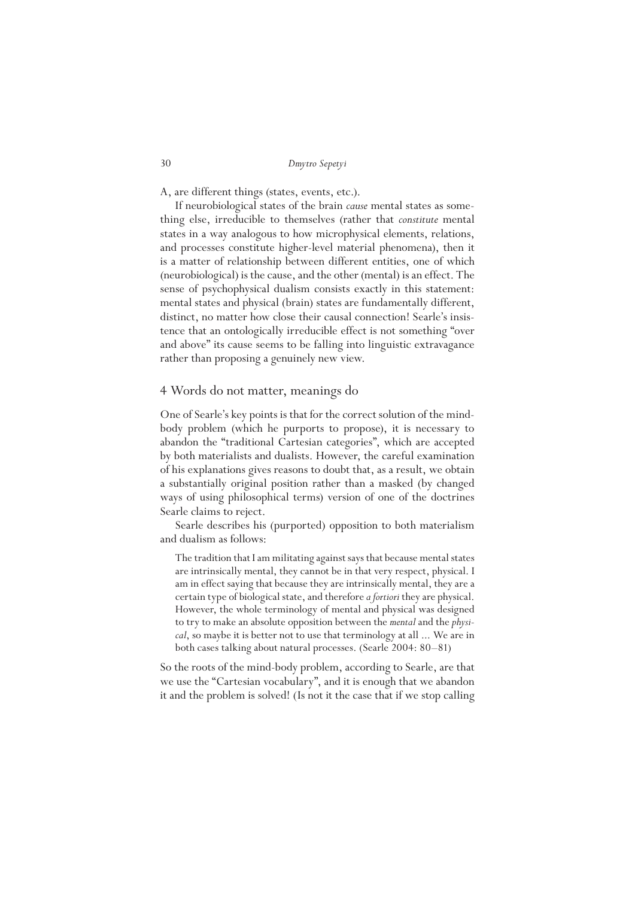A, are different things (states, events, etc.).

If neurobiological states of the brain *cause* mental states as something else, irreducible to themselves (rather that *constitute* mental states in a way analogous to how microphysical elements, relations, and processes constitute higher-level material phenomena), then it is a matter of relationship between different entities, one of which (neurobiological) is the cause, and the other (mental) is an effect. The sense of psychophysical dualism consists exactly in this statement: mental states and physical (brain) states are fundamentally different, distinct, no matter how close their causal connection! Searle's insistence that an ontologically irreducible effect is not something "over and above" its cause seems to be falling into linguistic extravagance rather than proposing a genuinely new view.

# 4 Words do not matter, meanings do

One of Searle's key points is that for the correct solution of the mindbody problem (which he purports to propose), it is necessary to abandon the "traditional Cartesian categories", which are accepted by both materialists and dualists. However, the careful examination of his explanations gives reasons to doubt that, as a result, we obtain a substantially original position rather than a masked (by changed ways of using philosophical terms) version of one of the doctrines Searle claims to reject.

Searle describes his (purported) opposition to both materialism and dualism as follows:

The tradition that I am militating against says that because mental states are intrinsically mental, they cannot be in that very respect, physical. I am in effect saying that because they are intrinsically mental, they are a certain type of biological state, and therefore *a fortiori* they are physical. However, the whole terminology of mental and physical was designed to try to make an absolute opposition between the *mental* and the *physical*, so maybe it is better not to use that terminology at all ... We are in both cases talking about natural processes. (Searle 2004: 80–81)

So the roots of the mind-body problem, according to Searle, are that we use the "Cartesian vocabulary", and it is enough that we abandon it and the problem is solved! (Is not it the case that if we stop calling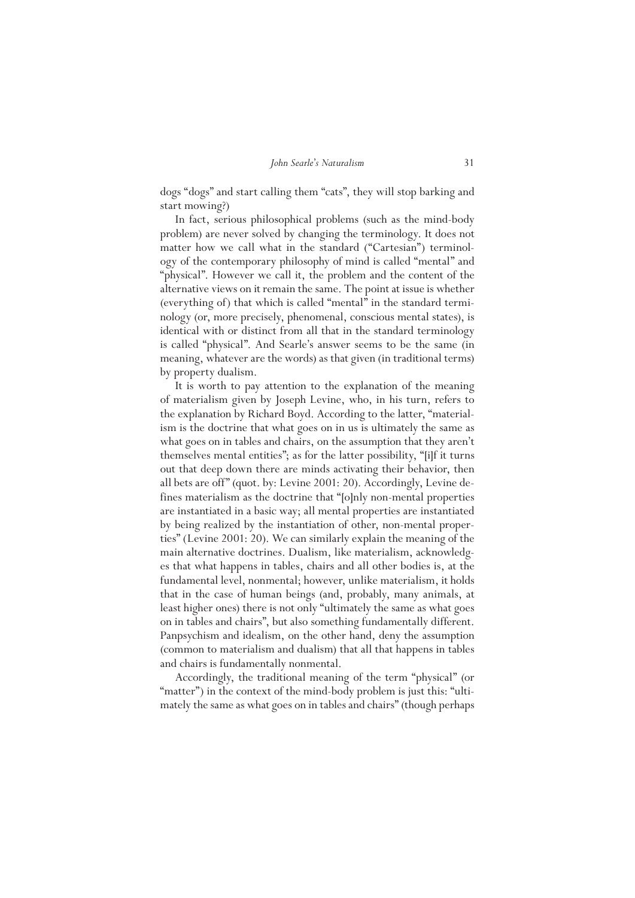dogs "dogs" and start calling them "cats", they will stop barking and start mowing?)

In fact, serious philosophical problems (such as the mind-body problem) are never solved by changing the terminology. It does not matter how we call what in the standard ("Cartesian") terminology of the contemporary philosophy of mind is called "mental" and "physical". However we call it, the problem and the content of the alternative views on it remain the same. The point at issue is whether (everything of) that which is called "mental" in the standard terminology (or, more precisely, phenomenal, conscious mental states), is identical with or distinct from all that in the standard terminology is called "physical". And Searle's answer seems to be the same (in meaning, whatever are the words) as that given (in traditional terms) by property dualism.

It is worth to pay attention to the explanation of the meaning of materialism given by Joseph Levine, who, in his turn, refers to the explanation by Richard Boyd. According to the latter, "materialism is the doctrine that what goes on in us is ultimately the same as what goes on in tables and chairs, on the assumption that they aren't themselves mental entities"; as for the latter possibility, "[i]f it turns out that deep down there are minds activating their behavior, then all bets are off" (quot. by: Levine 2001: 20). Accordingly, Levine defines materialism as the doctrine that "[o]nly non-mental properties are instantiated in a basic way; all mental properties are instantiated by being realized by the instantiation of other, non-mental properties" (Levine 2001: 20). We can similarly explain the meaning of the main alternative doctrines. Dualism, like materialism, acknowledges that what happens in tables, chairs and all other bodies is, at the fundamental level, nonmental; however, unlike materialism, it holds that in the case of human beings (and, probably, many animals, at least higher ones) there is not only "ultimately the same as what goes on in tables and chairs", but also something fundamentally different. Panpsychism and idealism, on the other hand, deny the assumption (common to materialism and dualism) that all that happens in tables and chairs is fundamentally nonmental.

Accordingly, the traditional meaning of the term "physical" (or "matter") in the context of the mind-body problem is just this: "ultimately the same as what goes on in tables and chairs" (though perhaps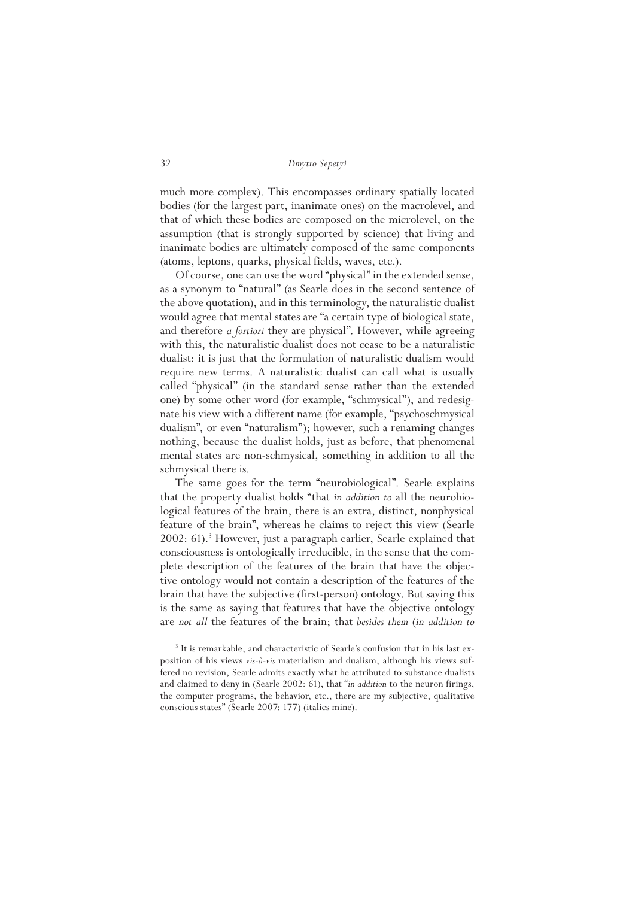much more complex). This encompasses ordinary spatially located bodies (for the largest part, inanimate ones) on the macrolevel, and that of which these bodies are composed on the microlevel, on the assumption (that is strongly supported by science) that living and inanimate bodies are ultimately composed of the same components (atoms, leptons, quarks, physical fields, waves, etc.).

Of course, one can use the word "physical" in the extended sense, as a synonym to "natural" (as Searle does in the second sentence of the above quotation), and in this terminology, the naturalistic dualist would agree that mental states are "a certain type of biological state, and therefore *a fortiori* they are physical". However, while agreeing with this, the naturalistic dualist does not cease to be a naturalistic dualist: it is just that the formulation of naturalistic dualism would require new terms. A naturalistic dualist can call what is usually called "physical" (in the standard sense rather than the extended one) by some other word (for example, "schmysical"), and redesignate his view with a different name (for example, "psychoschmysical dualism", or even "naturalism"); however, such a renaming changes nothing, because the dualist holds, just as before, that phenomenal mental states are non-schmysical, something in addition to all the schmysical there is.

The same goes for the term "neurobiological". Searle explains that the property dualist holds "that *in addition to* all the neurobiological features of the brain, there is an extra, distinct, nonphysical feature of the brain", whereas he claims to reject this view (Searle 2002: 61).<sup>3</sup> However, just a paragraph earlier, Searle explained that consciousness is ontologically irreducible, in the sense that the complete description of the features of the brain that have the objective ontology would not contain a description of the features of the brain that have the subjective (first-person) ontology. But saying this is the same as saying that features that have the objective ontology are *not all* the features of the brain; that *besides them* (*in addition to*

<sup>&</sup>lt;sup>3</sup> It is remarkable, and characteristic of Searle's confusion that in his last exposition of his views *vis-à-vis* materialism and dualism, although his views suffered no revision, Searle admits exactly what he attributed to substance dualists and claimed to deny in (Searle 2002: 61), that "*in addition* to the neuron firings, the computer programs, the behavior, etc., there are my subjective, qualitative conscious states" (Searle 2007: 177) (italics mine).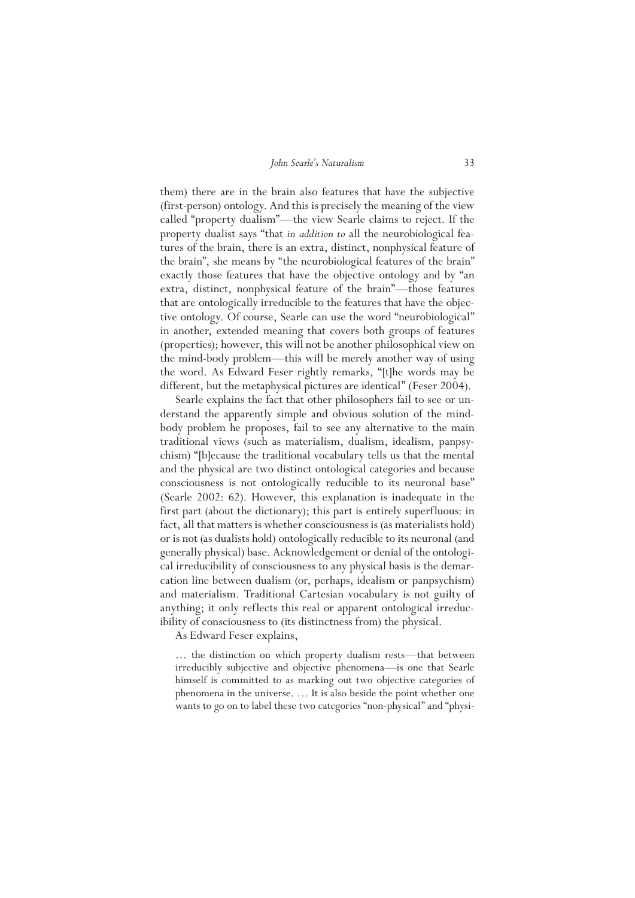them) there are in the brain also features that have the subjective (first-person) ontology. And this is precisely the meaning of the view called "property dualism"—the view Searle claims to reject. If the property dualist says "that *in addition to* all the neurobiological features of the brain, there is an extra, distinct, nonphysical feature of the brain", she means by "the neurobiological features of the brain" exactly those features that have the objective ontology and by "an extra, distinct, nonphysical feature of the brain"—those features that are ontologically irreducible to the features that have the objective ontology. Of course, Searle can use the word "neurobiological" in another, extended meaning that covers both groups of features (properties); however, this will not be another philosophical view on the mind-body problem—this will be merely another way of using the word. As Edward Feser rightly remarks, "[t]he words may be different, but the metaphysical pictures are identical" (Feser 2004).

Searle explains the fact that other philosophers fail to see or understand the apparently simple and obvious solution of the mindbody problem he proposes, fail to see any alternative to the main traditional views (such as materialism, dualism, idealism, panpsychism) "[b]ecause the traditional vocabulary tells us that the mental and the physical are two distinct ontological categories and because consciousness is not ontologically reducible to its neuronal base" (Searle 2002: 62). However, this explanation is inadequate in the first part (about the dictionary); this part is entirely superfluous: in fact, all that matters is whether consciousness is (as materialists hold) or is not (as dualists hold) ontologically reducible to its neuronal (and generally physical) base. Acknowledgement or denial of the ontological irreducibility of consciousness to any physical basis is the demarcation line between dualism (or, perhaps, idealism or panpsychism) and materialism. Traditional Cartesian vocabulary is not guilty of anything; it only reflects this real or apparent ontological irreducibility of consciousness to (its distinctness from) the physical.

As Edward Feser explains,

… the distinction on which property dualism rests—that between irreducibly subjective and objective phenomena—is one that Searle himself is committed to as marking out two objective categories of phenomena in the universe. … It is also beside the point whether one wants to go on to label these two categories "non-physical" and "physi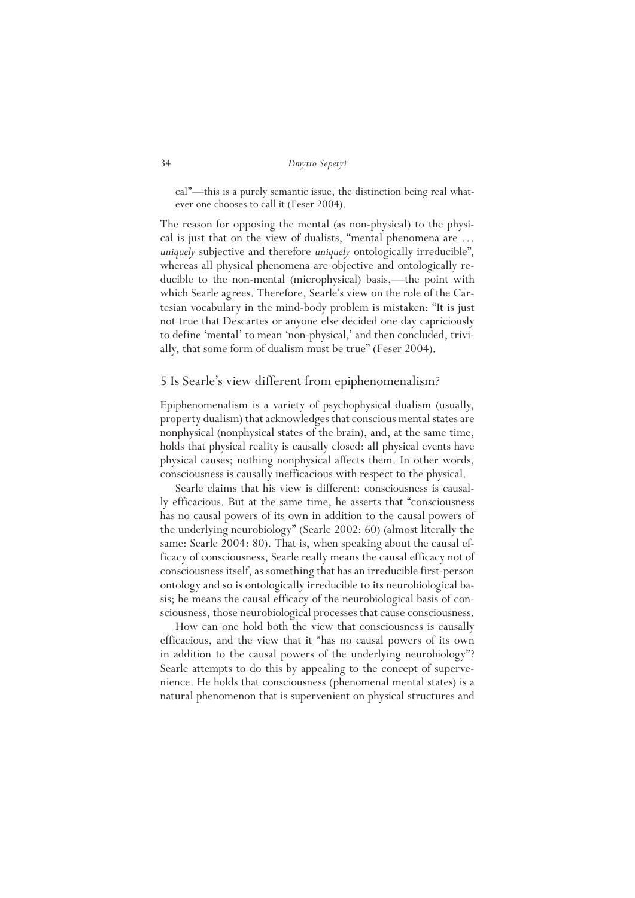cal"—this is a purely semantic issue, the distinction being real whatever one chooses to call it (Feser 2004).

The reason for opposing the mental (as non-physical) to the physical is just that on the view of dualists, "mental phenomena are … *uniquely* subjective and therefore *uniquely* ontologically irreducible", whereas all physical phenomena are objective and ontologically reducible to the non-mental (microphysical) basis,—the point with which Searle agrees. Therefore, Searle's view on the role of the Cartesian vocabulary in the mind-body problem is mistaken: "It is just not true that Descartes or anyone else decided one day capriciously to define 'mental' to mean 'non-physical,' and then concluded, trivially, that some form of dualism must be true" (Feser 2004).

# 5 Is Searle's view different from epiphenomenalism?

Epiphenomenalism is a variety of psychophysical dualism (usually, property dualism) that acknowledges that conscious mental states are nonphysical (nonphysical states of the brain), and, at the same time, holds that physical reality is causally closed: all physical events have physical causes; nothing nonphysical affects them. In other words, consciousness is causally inefficacious with respect to the physical.

Searle claims that his view is different: consciousness is causally efficacious. But at the same time, he asserts that "consciousness has no causal powers of its own in addition to the causal powers of the underlying neurobiology" (Searle 2002: 60) (almost literally the same: Searle 2004: 80). That is, when speaking about the causal efficacy of consciousness, Searle really means the causal efficacy not of consciousness itself, as something that has an irreducible first-person ontology and so is ontologically irreducible to its neurobiological basis; he means the causal efficacy of the neurobiological basis of consciousness, those neurobiological processes that cause consciousness.

How can one hold both the view that consciousness is causally efficacious, and the view that it "has no causal powers of its own in addition to the causal powers of the underlying neurobiology"? Searle attempts to do this by appealing to the concept of supervenience. He holds that consciousness (phenomenal mental states) is a natural phenomenon that is supervenient on physical structures and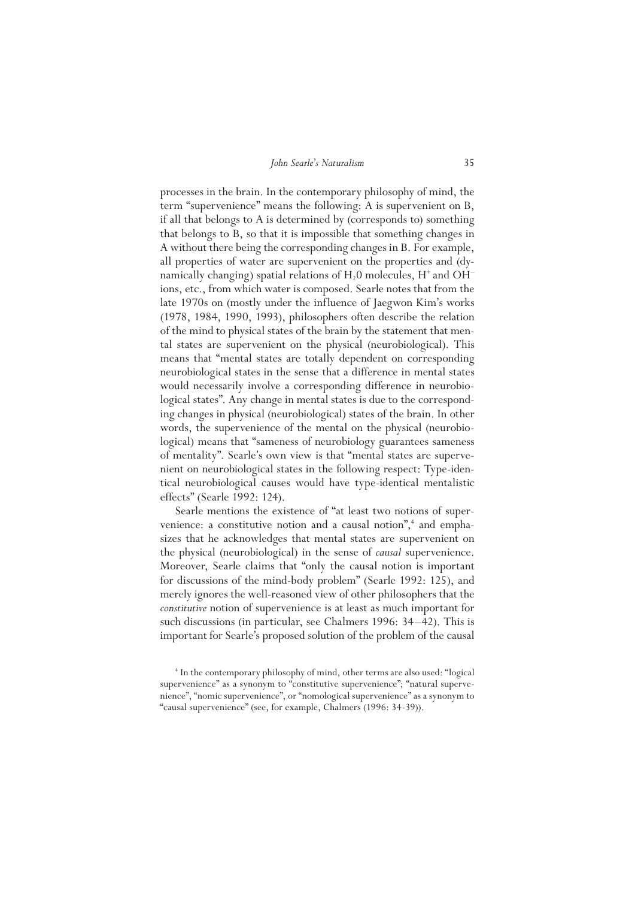processes in the brain. In the contemporary philosophy of mind, the term "supervenience" means the following: A is supervenient on B, if all that belongs to A is determined by (corresponds to) something that belongs to B, so that it is impossible that something changes in A without there being the corresponding changes in B. For example, all properties of water are supervenient on the properties and (dynamically changing) spatial relations of  $H_2$ 0 molecules,  $H^+$  and OH<sup>-</sup> ions, etc., from which water is composed. Searle notes that from the late 1970s on (mostly under the influence of Jaegwon Kim's works (1978, 1984, 1990, 1993), philosophers often describe the relation of the mind to physical states of the brain by the statement that mental states are supervenient on the physical (neurobiological). This means that "mental states are totally dependent on corresponding neurobiological states in the sense that a difference in mental states would necessarily involve a corresponding difference in neurobiological states". Any change in mental states is due to the corresponding changes in physical (neurobiological) states of the brain. In other words, the supervenience of the mental on the physical (neurobiological) means that "sameness of neurobiology guarantees sameness of mentality". Searle's own view is that "mental states are supervenient on neurobiological states in the following respect: Type-identical neurobiological causes would have type-identical mentalistic effects" (Searle 1992: 124).

Searle mentions the existence of "at least two notions of supervenience: a constitutive notion and a causal notion",<sup>4</sup> and emphasizes that he acknowledges that mental states are supervenient on the physical (neurobiological) in the sense of *causal* supervenience. Moreover, Searle claims that "only the causal notion is important for discussions of the mind-body problem" (Searle 1992: 125), and merely ignores the well-reasoned view of other philosophers that the *constitutive* notion of supervenience is at least as much important for such discussions (in particular, see Chalmers 1996: 34–42). This is important for Searle's proposed solution of the problem of the causal

<sup>4</sup> In the contemporary philosophy of mind, other terms are also used: "logical supervenience" as a synonym to "constitutive supervenience"; "natural supervenience", "nomic supervenience", or "nomological supervenience" as a synonym to "causal supervenience" (see, for example, Chalmers (1996: 34-39)).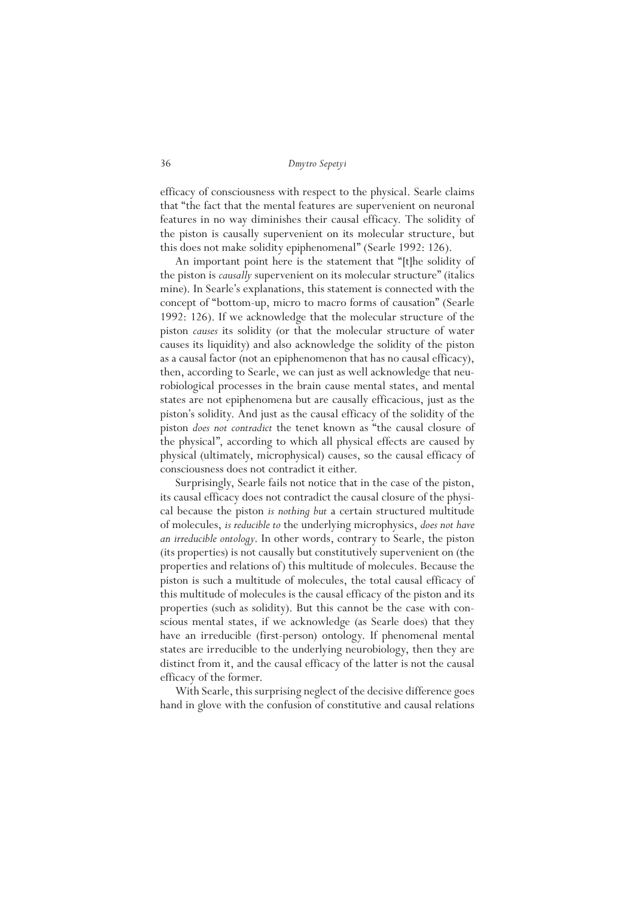efficacy of consciousness with respect to the physical. Searle claims that "the fact that the mental features are supervenient on neuronal features in no way diminishes their causal efficacy. The solidity of the piston is causally supervenient on its molecular structure, but this does not make solidity epiphenomenal" (Searle 1992: 126).

An important point here is the statement that "[t]he solidity of the piston is *causally* supervenient on its molecular structure" (italics mine). In Searle's explanations, this statement is connected with the concept of "bottom-up, micro to macro forms of causation" (Searle 1992: 126). If we acknowledge that the molecular structure of the piston *causes* its solidity (or that the molecular structure of water causes its liquidity) and also acknowledge the solidity of the piston as a causal factor (not an epiphenomenon that has no causal efficacy), then, according to Searle, we can just as well acknowledge that neurobiological processes in the brain cause mental states, and mental states are not epiphenomena but are causally efficacious, just as the piston's solidity. And just as the causal efficacy of the solidity of the piston *does not contradict* the tenet known as "the causal closure of the physical", according to which all physical effects are caused by physical (ultimately, microphysical) causes, so the causal efficacy of consciousness does not contradict it either.

Surprisingly, Searle fails not notice that in the case of the piston, its causal efficacy does not contradict the causal closure of the physical because the piston *is nothing but* a certain structured multitude of molecules, *is reducible to* the underlying microphysics, *does not have an irreducible ontology*. In other words, contrary to Searle, the piston (its properties) is not causally but constitutively supervenient on (the properties and relations of) this multitude of molecules. Because the piston is such a multitude of molecules, the total causal efficacy of this multitude of molecules is the causal efficacy of the piston and its properties (such as solidity). But this cannot be the case with conscious mental states, if we acknowledge (as Searle does) that they have an irreducible (first-person) ontology. If phenomenal mental states are irreducible to the underlying neurobiology, then they are distinct from it, and the causal efficacy of the latter is not the causal efficacy of the former.

With Searle, this surprising neglect of the decisive difference goes hand in glove with the confusion of constitutive and causal relations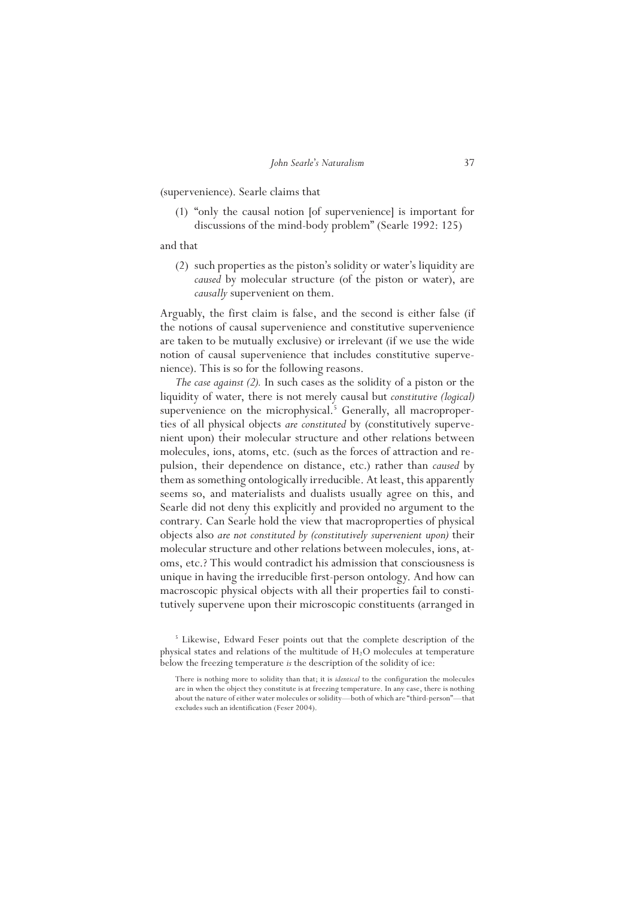(supervenience). Searle claims that

(1) "only the causal notion [of supervenience] is important for discussions of the mind-body problem" (Searle 1992: 125)

and that

(2) such properties as the piston's solidity or water's liquidity are *caused* by molecular structure (of the piston or water), are *causally* supervenient on them.

Arguably, the first claim is false, and the second is either false (if the notions of causal supervenience and constitutive supervenience are taken to be mutually exclusive) or irrelevant (if we use the wide notion of causal supervenience that includes constitutive supervenience). This is so for the following reasons.

*The case against (2).* In such cases as the solidity of a piston or the liquidity of water, there is not merely causal but *constitutive (logical)*  supervenience on the microphysical.<sup>5</sup> Generally, all macroproperties of all physical objects *are constituted* by (constitutively supervenient upon) their molecular structure and other relations between molecules, ions, atoms, etc. (such as the forces of attraction and repulsion, their dependence on distance, etc.) rather than *caused* by them as something ontologically irreducible. At least, this apparently seems so, and materialists and dualists usually agree on this, and Searle did not deny this explicitly and provided no argument to the contrary. Can Searle hold the view that macroproperties of physical objects also *are not constituted by (constitutively supervenient upon)* their molecular structure and other relations between molecules, ions, atoms, etc.? This would contradict his admission that consciousness is unique in having the irreducible first-person ontology. And how can macroscopic physical objects with all their properties fail to constitutively supervene upon their microscopic constituents (arranged in

<sup>&</sup>lt;sup>5</sup> Likewise, Edward Feser points out that the complete description of the physical states and relations of the multitude of  $H<sub>2</sub>O$  molecules at temperature below the freezing temperature *is* the description of the solidity of ice:

There is nothing more to solidity than that; it is *identical* to the configuration the molecules are in when the object they constitute is at freezing temperature. In any case, there is nothing about the nature of either water molecules or solidity—both of which are "third-person"—that excludes such an identification (Feser 2004).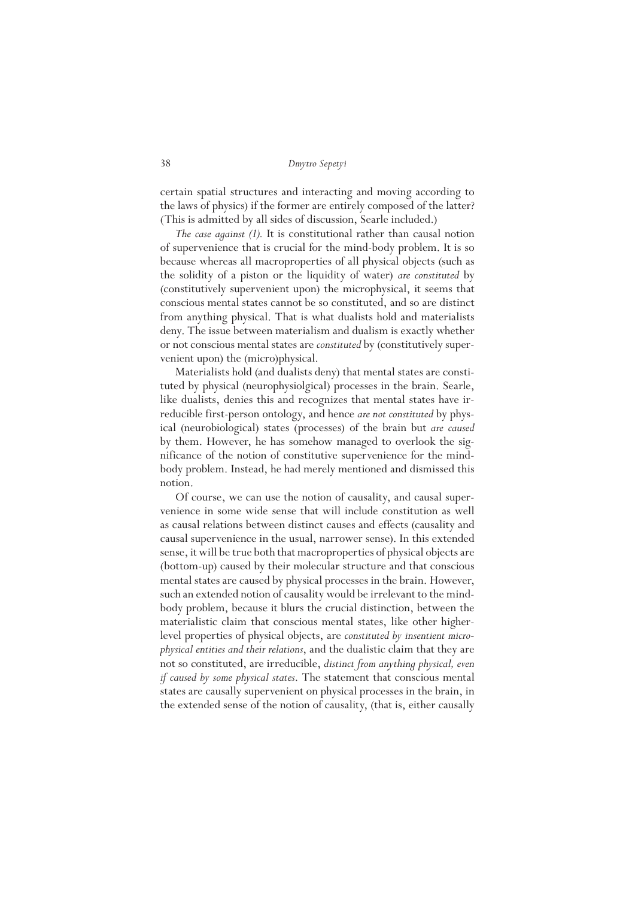certain spatial structures and interacting and moving according to the laws of physics) if the former are entirely composed of the latter? (This is admitted by all sides of discussion, Searle included.)

*The case against (1).* It is constitutional rather than causal notion of supervenience that is crucial for the mind-body problem. It is so because whereas all macroproperties of all physical objects (such as the solidity of a piston or the liquidity of water) *are constituted* by (constitutively supervenient upon) the microphysical, it seems that conscious mental states cannot be so constituted, and so are distinct from anything physical. That is what dualists hold and materialists deny. The issue between materialism and dualism is exactly whether or not conscious mental states are *constituted* by (constitutively supervenient upon) the (micro)physical.

Materialists hold (and dualists deny) that mental states are constituted by physical (neurophysiolgical) processes in the brain. Searle, like dualists, denies this and recognizes that mental states have irreducible first-person ontology, and hence *are not constituted* by physical (neurobiological) states (processes) of the brain but *are caused*  by them. However, he has somehow managed to overlook the significance of the notion of constitutive supervenience for the mindbody problem. Instead, he had merely mentioned and dismissed this notion.

Of course, we can use the notion of causality, and causal supervenience in some wide sense that will include constitution as well as causal relations between distinct causes and effects (causality and causal supervenience in the usual, narrower sense). In this extended sense, it will be true both that macroproperties of physical objects are (bottom-up) caused by their molecular structure and that conscious mental states are caused by physical processes in the brain. However, such an extended notion of causality would be irrelevant to the mindbody problem, because it blurs the crucial distinction, between the materialistic claim that conscious mental states, like other higherlevel properties of physical objects, are *constituted by insentient microphysical entities and their relations*, and the dualistic claim that they are not so constituted, are irreducible, *distinct from anything physical, even if caused by some physical states*. The statement that conscious mental states are causally supervenient on physical processes in the brain, in the extended sense of the notion of causality, (that is, either causally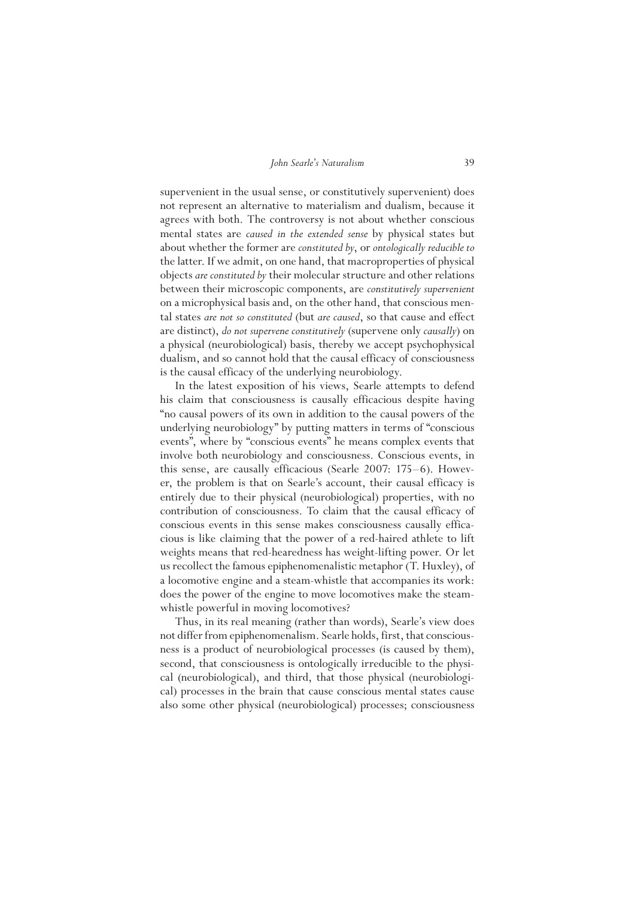supervenient in the usual sense, or constitutively supervenient) does not represent an alternative to materialism and dualism, because it agrees with both. The controversy is not about whether conscious mental states are *caused in the extended sense* by physical states but about whether the former are *constituted by*, or *ontologically reducible to* the latter. If we admit, on one hand, that macroproperties of physical objects *are constituted by* their molecular structure and other relations between their microscopic components, are *constitutively supervenient* on a microphysical basis and, on the other hand, that conscious mental states *are not so constituted* (but *are caused*, so that cause and effect are distinct), *do not supervene constitutively* (supervene only *causally*) on a physical (neurobiological) basis, thereby we accept psychophysical dualism, and so cannot hold that the causal efficacy of consciousness is the causal efficacy of the underlying neurobiology.

In the latest exposition of his views, Searle attempts to defend his claim that consciousness is causally efficacious despite having "no causal powers of its own in addition to the causal powers of the underlying neurobiology" by putting matters in terms of "conscious events", where by "conscious events" he means complex events that involve both neurobiology and consciousness. Conscious events, in this sense, are causally efficacious (Searle 2007: 175–6). However, the problem is that on Searle's account, their causal efficacy is entirely due to their physical (neurobiological) properties, with no contribution of consciousness. To claim that the causal efficacy of conscious events in this sense makes consciousness causally efficacious is like claiming that the power of a red-haired athlete to lift weights means that red-hearedness has weight-lifting power. Or let us recollect the famous epiphenomenalistic metaphor (T. Huxley), of a locomotive engine and a steam-whistle that accompanies its work: does the power of the engine to move locomotives make the steamwhistle powerful in moving locomotives?

Thus, in its real meaning (rather than words), Searle's view does not differ from epiphenomenalism. Searle holds, first, that consciousness is a product of neurobiological processes (is caused by them), second, that consciousness is ontologically irreducible to the physical (neurobiological), and third, that those physical (neurobiological) processes in the brain that cause conscious mental states cause also some other physical (neurobiological) processes; consciousness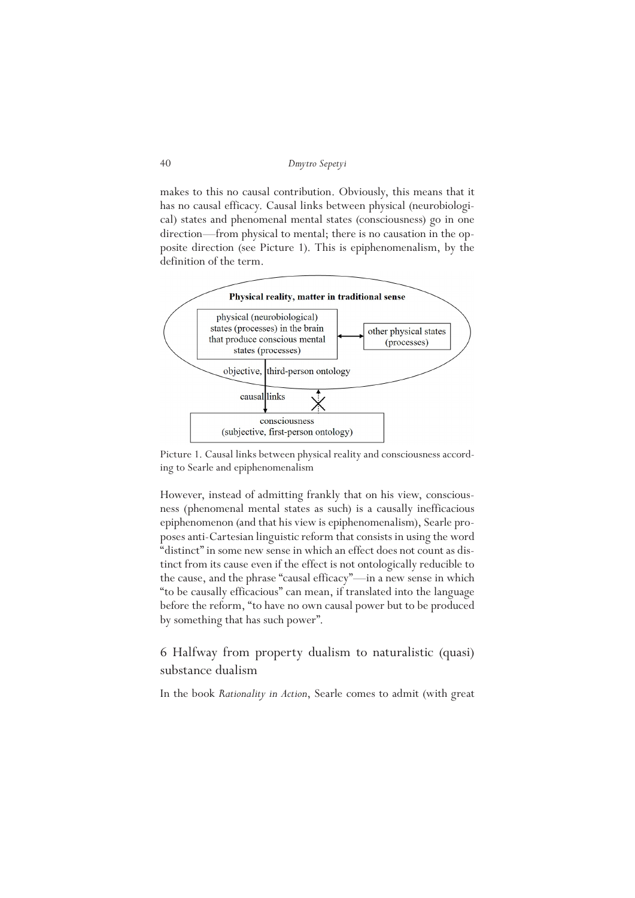makes to this no causal contribution. Obviously, this means that it has no causal efficacy. Causal links between physical (neurobiological) states and phenomenal mental states (consciousness) go in one direction—from physical to mental; there is no causation in the opposite direction (see Picture 1). This is epiphenomenalism, by the definition of the term.



Picture 1. Causal links between physical reality and consciousness according to Searle and epiphenomenalism

However, instead of admitting frankly that on his view, consciousness (phenomenal mental states as such) is a causally inefficacious epiphenomenon (and that his view is epiphenomenalism), Searle proposes anti-Cartesian linguistic reform that consists in using the word "distinct" in some new sense in which an effect does not count as distinct from its cause even if the effect is not ontologically reducible to the cause, and the phrase "causal efficacy"—in a new sense in which "to be causally efficacious" can mean, if translated into the language before the reform, "to have no own causal power but to be produced by something that has such power".

6 Halfway from property dualism to naturalistic (quasi) substance dualism

In the book *Rationality in Action*, Searle comes to admit (with great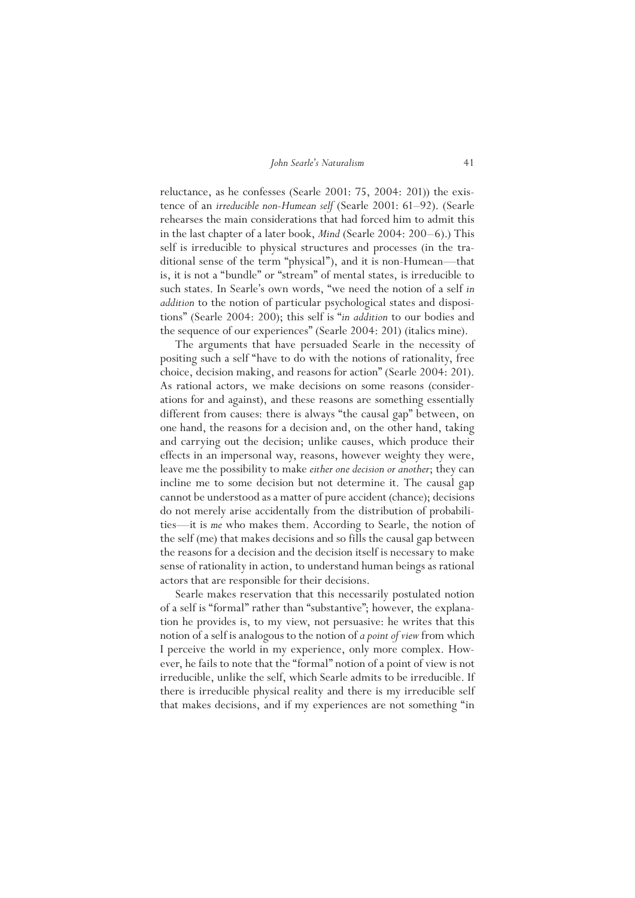reluctance, as he confesses (Searle 2001: 75, 2004: 201)) the existence of an *irreducible non-Humean self* (Searle 2001: 61–92). (Searle rehearses the main considerations that had forced him to admit this in the last chapter of a later book, *Mind* (Searle 2004: 200–6).) This self is irreducible to physical structures and processes (in the traditional sense of the term "physical"), and it is non-Humean—that is, it is not a "bundle" or "stream" of mental states, is irreducible to such states. In Searle's own words, "we need the notion of a self *in addition* to the notion of particular psychological states and dispositions" (Searle 2004: 200); this self is "*in addition* to our bodies and the sequence of our experiences" (Searle 2004: 201) (italics mine).

The arguments that have persuaded Searle in the necessity of positing such a self "have to do with the notions of rationality, free choice, decision making, and reasons for action" (Searle 2004: 201). As rational actors, we make decisions on some reasons (considerations for and against), and these reasons are something essentially different from causes: there is always "the causal gap" between, on one hand, the reasons for a decision and, on the other hand, taking and carrying out the decision; unlike causes, which produce their effects in an impersonal way, reasons, however weighty they were, leave me the possibility to make *either one decision or another*; they can incline me to some decision but not determine it. The causal gap cannot be understood as a matter of pure accident (chance); decisions do not merely arise accidentally from the distribution of probabilities—it is *me* who makes them. According to Searle, the notion of the self (me) that makes decisions and so fills the causal gap between the reasons for a decision and the decision itself is necessary to make sense of rationality in action, to understand human beings as rational actors that are responsible for their decisions.

Searle makes reservation that this necessarily postulated notion of a self is "formal" rather than "substantive"; however, the explanation he provides is, to my view, not persuasive: he writes that this notion of a self is analogous to the notion of *a point of view* from which I perceive the world in my experience, only more complex. However, he fails to note that the "formal" notion of a point of view is not irreducible, unlike the self, which Searle admits to be irreducible. If there is irreducible physical reality and there is my irreducible self that makes decisions, and if my experiences are not something "in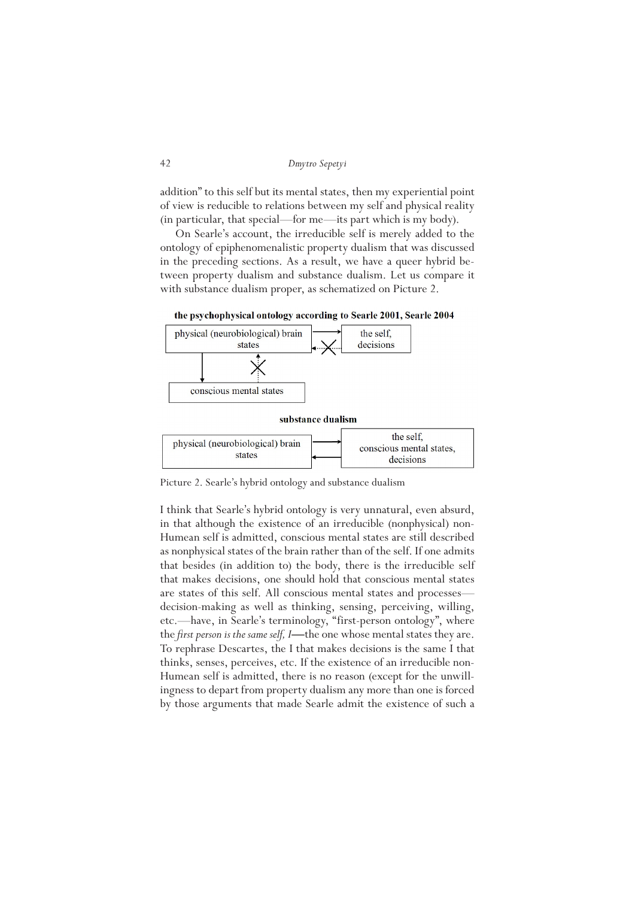```
42 Dmytro Sepetyi
```
addition" to this self but its mental states, then my experiential point of view is reducible to relations between my self and physical reality (in particular, that special—for me—its part which is my body).

On Searle's account, the irreducible self is merely added to the ontology of epiphenomenalistic property dualism that was discussed in the preceding sections. As a result, we have a queer hybrid between property dualism and substance dualism. Let us compare it with substance dualism proper, as schematized on Picture 2.



the psychophysical ontology according to Searle 2001, Searle 2004

Picture 2. Searle's hybrid ontology and substance dualism

I think that Searle's hybrid ontology is very unnatural, even absurd, in that although the existence of an irreducible (nonphysical) non-Humean self is admitted, conscious mental states are still described as nonphysical states of the brain rather than of the self. If one admits that besides (in addition to) the body, there is the irreducible self that makes decisions, one should hold that conscious mental states are states of this self. All conscious mental states and processes decision-making as well as thinking, sensing, perceiving, willing, etc.—have, in Searle's terminology, "first-person ontology", where the *first person is the same self, I*—the one whose mental states they are. To rephrase Descartes, the I that makes decisions is the same I that thinks, senses, perceives, etc. If the existence of an irreducible non-Humean self is admitted, there is no reason (except for the unwillingness to depart from property dualism any more than one is forced by those arguments that made Searle admit the existence of such a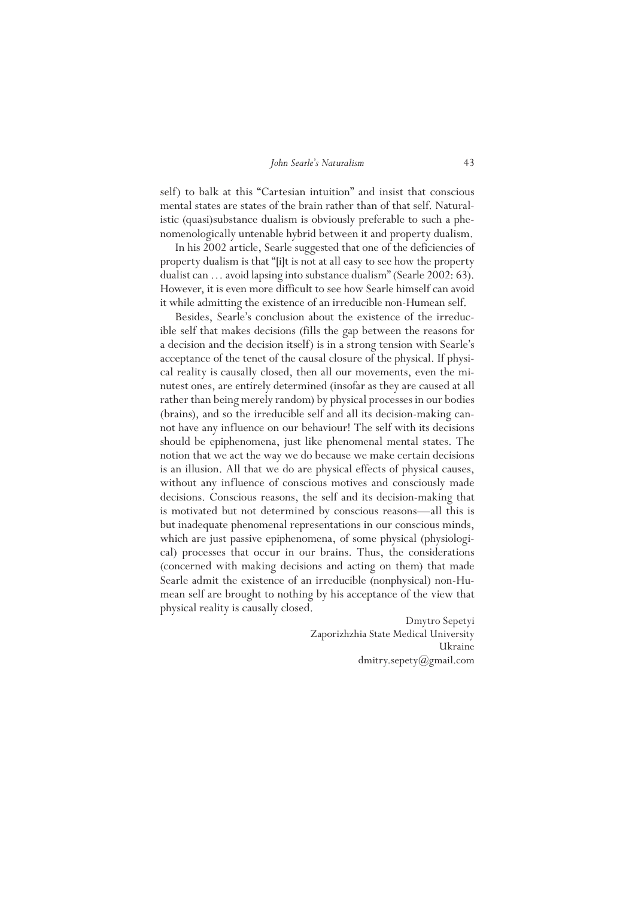self) to balk at this "Cartesian intuition" and insist that conscious mental states are states of the brain rather than of that self. Naturalistic (quasi)substance dualism is obviously preferable to such a phenomenologically untenable hybrid between it and property dualism.

In his 2002 article, Searle suggested that one of the deficiencies of property dualism is that "[i]t is not at all easy to see how the property dualist can … avoid lapsing into substance dualism" (Searle 2002: 63). However, it is even more difficult to see how Searle himself can avoid it while admitting the existence of an irreducible non-Humean self.

Besides, Searle's conclusion about the existence of the irreducible self that makes decisions (fills the gap between the reasons for a decision and the decision itself) is in a strong tension with Searle's acceptance of the tenet of the causal closure of the physical. If physical reality is causally closed, then all our movements, even the minutest ones, are entirely determined (insofar as they are caused at all rather than being merely random) by physical processes in our bodies (brains), and so the irreducible self and all its decision-making cannot have any influence on our behaviour! The self with its decisions should be epiphenomena, just like phenomenal mental states. The notion that we act the way we do because we make certain decisions is an illusion. All that we do are physical effects of physical causes, without any influence of conscious motives and consciously made decisions. Conscious reasons, the self and its decision-making that is motivated but not determined by conscious reasons—all this is but inadequate phenomenal representations in our conscious minds, which are just passive epiphenomena, of some physical (physiological) processes that occur in our brains. Thus, the considerations (concerned with making decisions and acting on them) that made Searle admit the existence of an irreducible (nonphysical) non-Humean self are brought to nothing by his acceptance of the view that physical reality is causally closed.

> Dmytro Sepetyi Zaporizhzhia State Medical University Ukraine dmitry.sepety@gmail.com